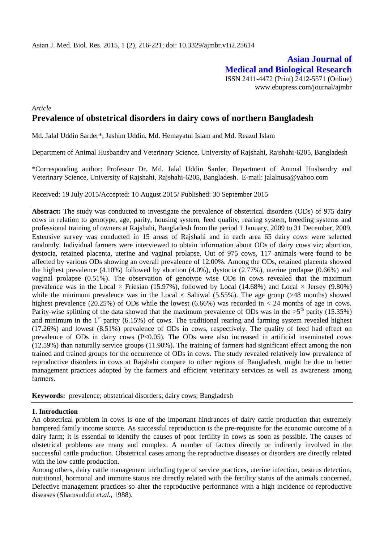**Asian Journal of Medical and Biological Research** ISSN 2411-4472 (Print) 2412-5571 (Online) www.ebupress.com/journal/ajmbr

# *Article* **Prevalence of obstetrical disorders in dairy cows of northern Bangladesh**

Md. Jalal Uddin Sarder\*, Jashim Uddin, Md. Hemayatul Islam and Md. Reazul Islam

Department of Animal Husbandry and Veterinary Science, University of Rajshahi, Rajshahi-6205, Bangladesh

\*Corresponding author: Professor Dr. Md. Jalal Uddin Sarder, Department of Animal Husbandry and Veterinary Science, University of Rajshahi, Rajshahi-6205, Bangladesh. E-mail: jalalnusa@yahoo.com

Received: 19 July 2015/Accepted: 10 August 2015/ Published: 30 September 2015

**Abstract:** The study was conducted to investigate the prevalence of obstetrical disorders (ODs) of 975 dairy cows in relation to genotype, age, parity, housing system, feed quality, rearing system, breeding systems and professional training of owners at Rajshahi, Bangladesh from the period 1 January, 2009 to 31 December, 2009. Extensive survey was conducted in 15 areas of Rajshahi and in each area 65 dairy cows were selected randomly. Individual farmers were interviewed to obtain information about ODs of dairy cows viz; abortion, dystocia, retained placenta, uterine and vaginal prolapse. Out of 975 cows, 117 animals were found to be affected by various ODs showing an overall prevalence of 12.00%. Among the ODs, retained placenta showed the highest prevalence (4.10%) followed by abortion (4.0%), dystocia (2.77%), uterine prolapse (0.66%) and vaginal prolapse (0.51%). The observation of genotype wise ODs in cows revealed that the maximum prevalence was in the Local  $\times$  Friesian (15.97%), followed by Local (14.68%) and Local  $\times$  Jersey (9.80%) while the minimum prevalence was in the Local  $\times$  Sahiwal (5.55%). The age group (>48 months) showed highest prevalence (20.25%) of ODs while the lowest (6.66%) was recorded in  $\lt$  24 months of age in cows. Parity-wise splitting of the data showed that the maximum prevalence of ODs was in the  $>5^{th}$  parity (15.35%) and minimum in the  $1<sup>st</sup>$  parity (6.15%) of cows. The traditional rearing and farming system revealed highest (17.26%) and lowest (8.51%) prevalence of ODs in cows, respectively. The quality of feed had effect on prevalence of ODs in dairy cows (P<0.05). The ODs were also increased in artificial inseminated cows (12.59%) than naturally service groups (11.90%). The training of farmers had significant effect among the non trained and trained groups for the occurrence of ODs in cows. The study revealed relatively low prevalence of reproductive disorders in cows at Rajshahi compare to other regions of Bangladesh, might be due to better management practices adopted by the farmers and efficient veterinary services as well as awareness among farmers.

**Keywords:** prevalence; obstetrical disorders; dairy cows; Bangladesh

## **1. Introduction**

An obstetrical problem in cows is one of the important hindrances of dairy cattle production that extremely hampered family income source. As successful reproduction is the pre-requisite for the economic outcome of a dairy farm; it is essential to identify the causes of poor fertility in cows as soon as possible. The causes of obstetrical problems are many and complex. A number of factors directly or indirectly involved in the successful cattle production. Obstetrical cases among the reproductive diseases or disorders are directly related with the low cattle production.

Among others, dairy cattle management including type of service practices, uterine infection, oestrus detection, nutritional, hormonal and immune status are directly related with the fertility status of the animals concerned. Defective management practices so alter the reproductive performance with a high incidence of reproductive diseases (Shamsuddin *et.al.,* 1988).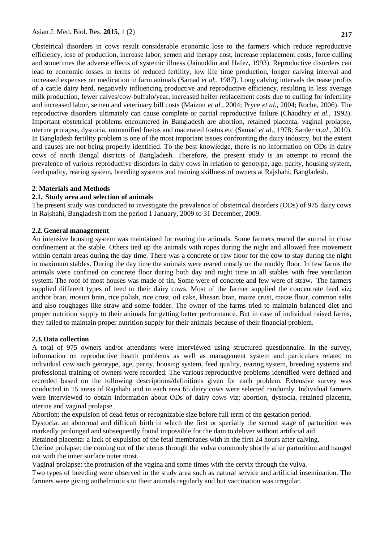Asian J. Med. Biol. Res. **2015**, 1 (2) **217**

Obstetrical disorders in cows result considerable economic lose to the farmers which reduce reproductive efficiency, lose of production, increase labor, semen and therapy cost, increase replacement costs, force culling and sometimes the adverse effects of systemic illness (Jainuddin and Hafez, 1993). Reproductive disorders can lead to economic losses in terms of reduced fertility, low life time production, longer calving interval and increased expenses on medication in farm animals (Samad *et al.,* 1987). Long calving intervals decrease profits of a cattle dairy herd, negatively influencing productive and reproductive efficiency, resulting in less average milk production, fewer calves/cow-buffalo/year, increased heifer replacement costs due to culling for infertility and increased labor, semen and veterinary bill costs (Maizon *et al.,* 2004; Pryce *et al.,* 2004; Roche, 2006). The reproductive disorders ultimately can cause complete or partial reproductive failure (Chaudhry *et al.,* 1993). Important obstetrical problems encountered in Bangladesh are abortion, retained placenta, vaginal prolapse, uterine prolapse, dystocia, mummified foetus and macerated foetus etc (Samad *et al*., 1978; Sarder *et.al*., 2010). In Bangladesh fertility problem is one of the most important issues confronting the dairy industry, but the extent and causes are not being properly identified. To the best knowledge, there is no information on ODs in dairy cows of north Bengal districts of Bangladesh. Therefore, the present study is an attempt to record the prevalence of various reproductive disorders in dairy cows in relation to genotype, age, parity, housing system,

## **2. Materials and Methods**

# **2.1. Study area and selection of animals**

The present study was conducted to investigate the prevalence of obstetrical disorders (ODs) of 975 dairy cows in Rajshahi, Bangladesh from the period 1 January, 2009 to 31 December, 2009.

feed quality, rearing system, breeding systems and training skillness of owners at Rajshahi, Bangladesh.

## **2.2.General management**

An intensive housing system was maintained for rearing the animals. Some farmers reared the animal in close confinement at the stable. Others tied up the animals with ropes during the night and allowed free movement within certain areas during the day time. There was a concrete or raw floor for the cow to stay during the night in maximum stables. During the day time the animals were reared mostly on the muddy floor. In few farms the animals were confined on concrete floor during both day and night time in all stables with free ventilation system. The roof of most houses was made of tin. Some were of concrete and few were of straw. The farmers supplied different types of feed to their dairy cows. Most of the farmer supplied the concentrate feed viz; anchor bran, mosuri bran, rice polish, rice crust, oil cake, khesari bran, maize crust, maize flour, common salts and also roughages like straw and some fodder. The owner of the farms tried to maintain balanced diet and proper nutrition supply to their animals for getting better performance. But in case of individual raised farms, they failed to maintain proper nutrition supply for their animals because of their financial problem.

## **2.3.Data collection**

A total of 975 owners and/or attendants were interviewed using structured questionnaire. In the survey, information on reproductive health problems as well as management system and particulars related to individual cow such genotype, age, parity, housing system, feed quality, rearing system, breeding systems and professional training of owners were recorded. The various reproductive problems identified were defined and recorded based on the following descriptions/definitions given for each problem. Extensive survey was conducted in 15 areas of Rajshahi and in each area 65 dairy cows were selected randomly. Individual farmers were interviewed to obtain information about ODs of dairy cows viz; abortion, dystocia, retained placenta, uterine and vaginal prolapse.

Abortion: the expulsion of dead fetus or recognizable size before full term of the gestation period.

Dystocia: an abnormal and difficult birth in which the first or specially the second stage of parturition was markedly prolonged and subsequently found impossible for the dam to deliver without artificial aid.

Retained placenta: a lack of expulsion of the fetal membranes with in the first 24 hours after calving.

Uterine prolapse: the coming out of the uterus through the vulva commonly shortly after parturition and hanged out with the inner surface outer most.

Vaginal prolapse: the protrusion of the vagina and some times with the cervix through the vulva.

Two types of breeding were observed in the study area such as natural service and artificial insemination. The farmers were giving anthelmintics to their animals regularly and but vaccination was irregular.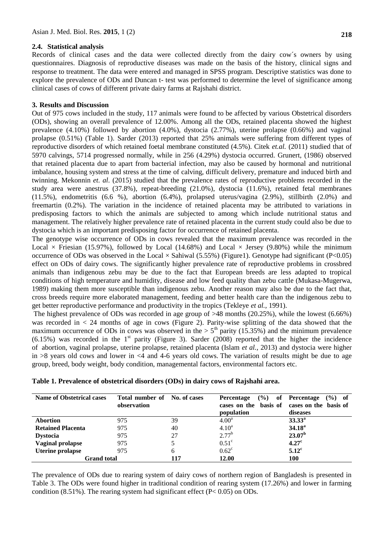## **2.4. Statistical analysis**

Records of clinical cases and the data were collected directly from the dairy cow´s owners by using questionnaires. Diagnosis of reproductive diseases was made on the basis of the history, clinical signs and response to treatment. The data were entered and managed in SPSS program. Descriptive statistics was done to explore the prevalence of ODs and Duncan t- test was performed to determine the level of significance among clinical cases of cows of different private dairy farms at Rajshahi district.

#### **3. Results and Discussion**

Out of 975 cows included in the study, 117 animals were found to be affected by various Obstetrical disorders (ODs), showing an overall prevalence of 12.00%. Among all the ODs, retained placenta showed the highest prevalence (4.10%) followed by abortion (4.0%), dystocia (2.77%), uterine prolapse (0.66%) and vaginal prolapse (0.51%) (Table 1). Sarder (2013) reported that 25% animals were suffering from different types of reproductive disorders of which retained foetal membrane constituted (4.5%). Citek *et.al.* (2011) studied that of 5970 calvings, 5714 progressed normally, while in 256 (4.29%) dystocia occurred. Grunert, (1986) observed that retained placenta due to apart from bacterial infection, may also be caused by hormonal and nutritional imbalance, housing system and stress at the time of calving, difficult delivery, premature and induced birth and twinning. Mekonnin *et. al*. (2015) studied that the prevalence rates of reproductive problems recorded in the study area were anestrus (37.8%), repeat-breeding (21.0%), dystocia (11.6%), retained fetal membranes (11.5%), endometritis (6.6 %), abortion (6.4%), prolapsed uterus/vagina (2.9%), stillbirth (2.0%) and freemartin (0.2%). The variation in the incidence of retained placenta may be attributed to variations in predisposing factors to which the animals are subjected to among which include nutritional status and management. The relatively higher prevalence rate of retained placenta in the current study could also be due to dystocia which is an important predisposing factor for occurrence of retained placenta.

The genotype wise occurrence of ODs in cows revealed that the maximum prevalence was recorded in the Local  $\times$  Friesian (15.97%), followed by Local (14.68%) and Local  $\times$  Jersey (9.80%) while the minimum occurrence of ODs was observed in the Local  $\times$  Sahiwal (5.55%) (Figure1). Genotype had significant (P<0.05) effect on ODs of dairy cows. The significantly higher prevalence rate of reproductive problems in crossbred animals than indigenous zebu may be due to the fact that European breeds are less adapted to tropical conditions of high temperature and humidity, disease and low feed quality than zebu cattle (Mukasa-Mugerwa, 1989) making them more susceptible than indigenous zebu. Another reason may also be due to the fact that, cross breeds require more elaborated management, feeding and better health care than the indigenous zebu to get better reproductive performance and productivity in the tropics (Tekleye *et al.,* 1991).

The highest prevalence of ODs was recorded in age group of >48 months (20.25%), while the lowest (6.66%) was recorded in  $\lt 24$  months of age in cows (Figure 2). Parity-wise splitting of the data showed that the maximum occurrence of ODs in cows was observed in the  $> 5<sup>th</sup>$  parity (15.35%) and the minimum prevalence  $(6.15\%)$  was recorded in the 1<sup>st</sup> parity (Figure 3). Sarder (2008) reported that the higher the incidence of abortion, vaginal prolapse, uterine prolapse, retained placenta (Islam *et al.,* 2013) and dystocia were higher in  $>8$  years old cows and lower in  $<4$  and 4-6 years old cows. The variation of results might be due to age group, breed, body weight, body condition, managemental factors, environmental factors etc.

| <b>Name of Obstetrical cases</b> | Total number of<br>observation | No. of cases | $($ %)<br>of<br><b>Percentage</b><br>cases on the basis of cases on the basis of<br>population | $(\%)$ of<br>Percentage<br>diseases |
|----------------------------------|--------------------------------|--------------|------------------------------------------------------------------------------------------------|-------------------------------------|
| <b>Abortion</b>                  | 975                            | 39           | $4.00^{\rm a}$                                                                                 | $33.33^{\circ}$                     |
| <b>Retained Placenta</b>         | 975                            | 40           | $4.10^a$                                                                                       | $34.18^{a}$                         |
| <b>Dystocia</b>                  | 975                            | 27           | $2.77^{b}$                                                                                     | $23.07^{\rm b}$                     |
| <b>Vaginal prolapse</b>          | 975                            |              | $0.51^{\circ}$                                                                                 | 4.27 <sup>c</sup>                   |
| <b>Uterine prolapse</b>          | 975                            | 6            | $0.62^{\circ}$                                                                                 | $5.12^{\circ}$                      |
| <b>Grand</b> total               |                                | 117          | <b>12.00</b>                                                                                   | 100                                 |

**Table 1. Prevalence of obstetrical disorders (ODs) in dairy cows of Rajshahi area.** 

The prevalence of ODs due to rearing system of dairy cows of northern region of Bangladesh is presented in Table 3. The ODs were found higher in traditional condition of rearing system (17.26%) and lower in farming condition  $(8.51\%)$ . The rearing system had significant effect  $(P< 0.05)$  on ODs.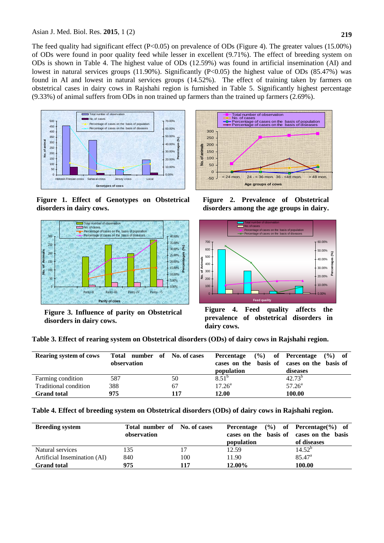The feed quality had significant effect (P<0.05) on prevalence of ODs (Figure 4). The greater values (15.00%) of ODs were found in poor quality feed while lesser in excellent (9.71%). The effect of breeding system on ODs is shown in Table 4. The highest value of ODs (12.59%) was found in artificial insemination (AI) and lowest in natural services groups (11.90%). Significantly (P<0.05) the highest value of ODs (85.47%) was found in AI and lowest in natural services groups (14.52%). The effect of training taken by farmers on obstetrical cases in dairy cows in Rajshahi region is furnished in Table 5. Significantly highest percentage (9.33%) of animal suffers from ODs in non trained up farmers than the trained up farmers (2.69%).



**Figure 1. Effect of Genotypes on Obstetrical disorders in dairy cows.** 



**Figure 3. Influence of parity on Obstetrical disorders in dairy cows.** 



**Figure 2. Prevalence of Obstetrical disorders among the age groups in dairy.**



**Figure 4. Feed quality affects the prevalence of obstetrical disorders in dairy cows.** 

**Table 3. Effect of rearing system on Obstetrical disorders (ODs) of dairy cows in Rajshahi region.**

| <b>Rearing system of cows</b> | Total number of No. of cases<br>observation |     | $($ %)<br>Percentage<br>cases on the basis of cases on the basis of<br>population | of Percentage<br>$($ %) of<br>diseases |
|-------------------------------|---------------------------------------------|-----|-----------------------------------------------------------------------------------|----------------------------------------|
| Farming condition             | 587                                         | 50  | $8.51^{b}$                                                                        | $42.73^{b}$                            |
| Traditional condition         | 388                                         | 67  | $17.26^{\circ}$                                                                   | $57.26^{\circ}$                        |
| <b>Grand total</b>            | 975                                         | 117 | 12.00                                                                             | 100.00                                 |

**Table 4. Effect of breeding system on Obstetrical disorders (ODs) of dairy cows in Rajshahi region.**

| <b>Breeding system</b>       | Total number of No. of cases<br>observation |     | Percentage<br>cases on the basis of cases on the basis<br>population | $(\%)$ of Percentage $(\%)$ of<br>of diseases |
|------------------------------|---------------------------------------------|-----|----------------------------------------------------------------------|-----------------------------------------------|
| Natural services             | 135                                         |     | 12.59                                                                | $14.52^{\circ}$                               |
| Artificial Insemination (AI) | 840                                         | 100 | 11.90                                                                | $85.47^{\circ}$                               |
| <b>Grand total</b>           | 975                                         | 117 | 12.00%                                                               | 100.00                                        |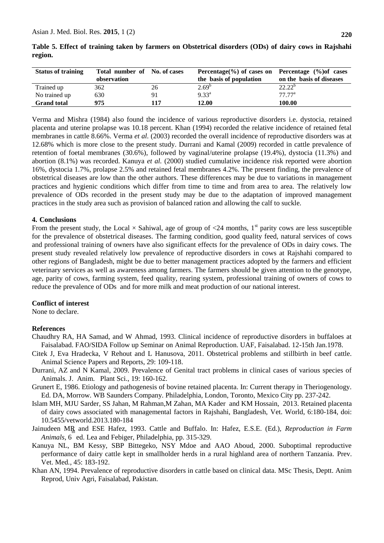| <b>Status of training</b> | Total number of No. of cases<br>observation |     | Percentage $\%$ of cases on Percentage $\%$ of cases<br>the basis of population | on the basis of diseases |
|---------------------------|---------------------------------------------|-----|---------------------------------------------------------------------------------|--------------------------|
| Trained up                | 362                                         | 26  | $2.69^{b}$                                                                      | $22.22^b$                |
| No trained up             | 630                                         | 91  | $9.33^{a}$                                                                      | 77.77 <sup>a</sup>       |
| <b>Grand total</b>        | 975                                         | 117 | 12.00                                                                           | 100.00                   |

**Table 5. Effect of training taken by farmers on Obstetrical disorders (ODs) of dairy cows in Rajshahi region.**

Verma and Mishra (1984) also found the incidence of various reproductive disorders i.e. dystocia, retained placenta and uterine prolapse was 10.18 percent. Khan (1994) recorded the relative incidence of retained fetal membranes in cattle 8.66%. Verma et al. (2003) recorded the overall incidence of reproductive disorders was at 12.68% which is more close to the present study. Durrani and Kamal (2009) recorded in cattle prevalence of retention of foetal membranes (30.6%), followed by vaginal/uterine prolapse (19.4%), dystocia (11.3%) and abortion (8.1%) was recorded. Kanuya *et al.* (2000) studied cumulative incidence risk reported were abortion 16%, dystocia 1.7%, prolapse 2.5% and retained fetal membranes 4.2%. The present finding, the prevalence of obstetrical diseases are low than the other authors. These differences may be due to variations in management practices and hygienic conditions which differ from time to time and from area to area. The relatively low prevalence of ODs recorded in the present study may be due to the adaptation of improved management practices in the study area such as provision of balanced ration and allowing the calf to suckle.

#### **4. Conclusions**

From the present study, the Local  $\times$  Sahiwal, age of group of <24 months, 1<sup>st</sup> parity cows are less susceptible for the prevalence of obstetrical diseases. The farming condition, good quality feed, natural services of cows and professional training of owners have also significant effects for the prevalence of ODs in dairy cows. The present study revealed relatively low prevalence of reproductive disorders in cows at Rajshahi compared to other regions of Bangladesh, might be due to better management practices adopted by the farmers and efficient veterinary services as well as awareness among farmers. The farmers should be given attention to the genotype, age, parity of cows, farming system, feed quality, rearing system, professional training of owners of cows to reduce the prevalence of ODs and for more milk and meat production of our national interest.

#### **Conflict of interest**

None to declare.

#### **References**

- Chaudhry RA, HA Samad, and W Ahmad, 1993. Clinical incidence of reproductive disorders in buffaloes at Faisalabad. FAO/SIDA Follow up Seminar on Animal Reproduction. UAF, Faisalabad. 12-15th Jan.1978.
- Citek J, Eva Hradecka, V Rehout and L Hanusova, 2011. Obstetrical problems and stillbirth in beef cattle. Animal Science Papers and Reports, 29: 109-118.
- Durrani, AZ and N Kamal, 2009. Prevalence of Genital tract problems in clinical cases of various species of Animals. J. Anim. Plant Sci., 19: 160-162.
- Grunert E, 1986. Etiology and pathogenesis of bovine retained placenta. In: Current therapy in Theriogenology. Ed. DA, Morrow. WB Saunders Company. Philadelphia, London, Toronto, Mexico City pp. 237-242.
- Islam MH, MJU Sarder, SS Jahan, M Rahman,M Zahan, MA Kader and KM Hossain, 2013. Retained placenta of dairy cows associated with managemental factors in Rajshahi, Bangladesh, Vet. World, 6:180-184, doi: 10.5455/vetworld.2013.180-184
- Jainudeen MR and ESE Hafez, 1993. Cattle and Buffalo. In: Hafez, E.S.E. (Ed.), *Reproduction in Farm*  th *Animals*, 6 ed. Lea and Febiger, Philadelphia, pp. 315-329.
- Kanuya NL, BM Kessy, SBP Bittegeko, NSY Mdoe and AAO Aboud, 2000. Suboptimal reproductive performance of dairy cattle kept in smallholder herds in a rural highland area of northern Tanzania. Prev. Vet. Med*.,* 45: 183-192.
- Khan AN, 1994. Prevalence of reproductive disorders in cattle based on clinical data. MSc Thesis, Deptt. Anim Reprod, Univ Agri, Faisalabad, Pakistan.